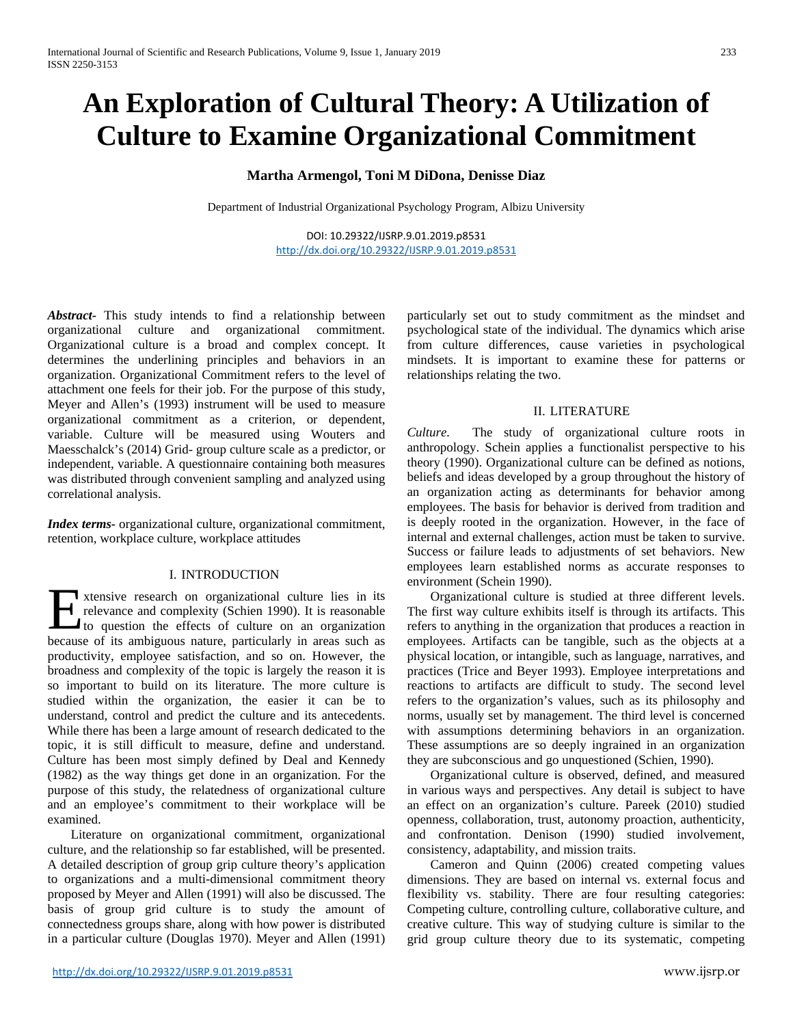# **An Exploration of Cultural Theory: A Utilization of Culture to Examine Organizational Commitment**

# **Martha Armengol, Toni M DiDona, Denisse Diaz**

Department of Industrial Organizational Psychology Program, Albizu University

DOI: 10.29322/IJSRP.9.01.2019.p8531 <http://dx.doi.org/10.29322/IJSRP.9.01.2019.p8531>

*Abstract-* This study intends to find a relationship between organizational culture and organizational commitment. Organizational culture is a broad and complex concept. It determines the underlining principles and behaviors in an organization. Organizational Commitment refers to the level of attachment one feels for their job. For the purpose of this study, Meyer and Allen's (1993) instrument will be used to measure organizational commitment as a criterion, or dependent, variable. Culture will be measured using Wouters and Maesschalck's (2014) Grid- group culture scale as a predictor, or independent, variable. A questionnaire containing both measures was distributed through convenient sampling and analyzed using correlational analysis.

*Index terms-* organizational culture, organizational commitment, retention, workplace culture, workplace attitudes

## I. INTRODUCTION

xtensive research on organizational culture lies in its relevance and complexity (Schien 1990). It is reasonable to question the effects of culture on an organization **EXECUTE:** The intervalse of its ambiguous nature, particularly in areas such as because of its ambiguous nature, particularly in areas such as productivity, employee satisfaction, and so on. However, the broadness and complexity of the topic is largely the reason it is so important to build on its literature. The more culture is studied within the organization, the easier it can be to understand, control and predict the culture and its antecedents. While there has been a large amount of research dedicated to the topic, it is still difficult to measure, define and understand. Culture has been most simply defined by Deal and Kennedy (1982) as the way things get done in an organization. For the purpose of this study, the relatedness of organizational culture and an employee's commitment to their workplace will be examined.

Literature on organizational commitment, organizational culture, and the relationship so far established, will be presented. A detailed description of group grip culture theory's application to organizations and a multi-dimensional commitment theory proposed by Meyer and Allen (1991) will also be discussed. The basis of group grid culture is to study the amount of connectedness groups share, along with how power is distributed in a particular culture (Douglas 1970). Meyer and Allen (1991) particularly set out to study commitment as the mindset and psychological state of the individual. The dynamics which arise from culture differences, cause varieties in psychological mindsets. It is important to examine these for patterns or relationships relating the two.

## II. LITERATURE

*Culture.* The study of organizational culture roots in anthropology. Schein applies a functionalist perspective to his theory (1990). Organizational culture can be defined as notions, beliefs and ideas developed by a group throughout the history of an organization acting as determinants for behavior among employees. The basis for behavior is derived from tradition and is deeply rooted in the organization. However, in the face of internal and external challenges, action must be taken to survive. Success or failure leads to adjustments of set behaviors. New employees learn established norms as accurate responses to environment (Schein 1990).

Organizational culture is studied at three different levels. The first way culture exhibits itself is through its artifacts. This refers to anything in the organization that produces a reaction in employees. Artifacts can be tangible, such as the objects at a physical location, or intangible, such as language, narratives, and practices (Trice and Beyer 1993). Employee interpretations and reactions to artifacts are difficult to study. The second level refers to the organization's values, such as its philosophy and norms, usually set by management. The third level is concerned with assumptions determining behaviors in an organization. These assumptions are so deeply ingrained in an organization they are subconscious and go unquestioned (Schien, 1990).

Organizational culture is observed, defined, and measured in various ways and perspectives. Any detail is subject to have an effect on an organization's culture. Pareek (2010) studied openness, collaboration, trust, autonomy proaction, authenticity, and confrontation. Denison (1990) studied involvement, consistency, adaptability, and mission traits.

Cameron and Quinn (2006) created competing values dimensions. They are based on internal vs. external focus and flexibility vs. stability. There are four resulting categories: Competing culture, controlling culture, collaborative culture, and creative culture. This way of studying culture is similar to the grid group culture theory due to its systematic, competing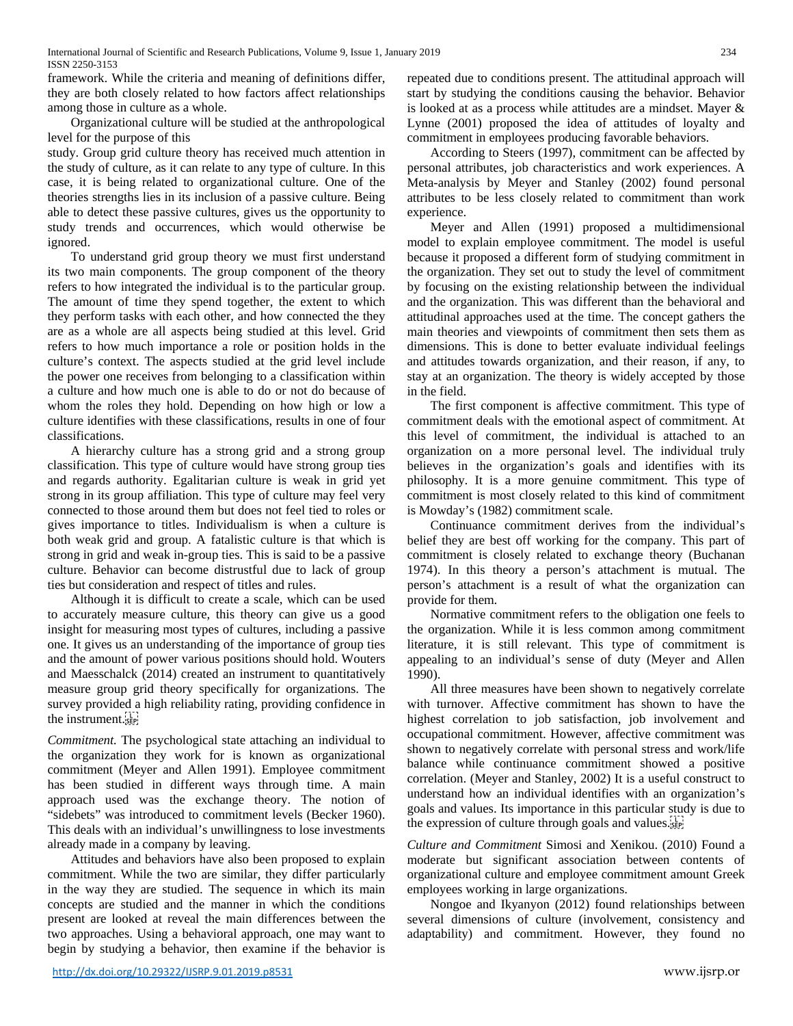International Journal of Scientific and Research Publications, Volume 9, Issue 1, January 2019 234 ISSN 2250-3153

framework. While the criteria and meaning of definitions differ, they are both closely related to how factors affect relationships among those in culture as a whole.

Organizational culture will be studied at the anthropological level for the purpose of this

study. Group grid culture theory has received much attention in the study of culture, as it can relate to any type of culture. In this case, it is being related to organizational culture. One of the theories strengths lies in its inclusion of a passive culture. Being able to detect these passive cultures, gives us the opportunity to study trends and occurrences, which would otherwise be ignored.

To understand grid group theory we must first understand its two main components. The group component of the theory refers to how integrated the individual is to the particular group. The amount of time they spend together, the extent to which they perform tasks with each other, and how connected the they are as a whole are all aspects being studied at this level. Grid refers to how much importance a role or position holds in the culture's context. The aspects studied at the grid level include the power one receives from belonging to a classification within a culture and how much one is able to do or not do because of whom the roles they hold. Depending on how high or low a culture identifies with these classifications, results in one of four classifications.

A hierarchy culture has a strong grid and a strong group classification. This type of culture would have strong group ties and regards authority. Egalitarian culture is weak in grid yet strong in its group affiliation. This type of culture may feel very connected to those around them but does not feel tied to roles or gives importance to titles. Individualism is when a culture is both weak grid and group. A fatalistic culture is that which is strong in grid and weak in-group ties. This is said to be a passive culture. Behavior can become distrustful due to lack of group ties but consideration and respect of titles and rules.

Although it is difficult to create a scale, which can be used to accurately measure culture, this theory can give us a good insight for measuring most types of cultures, including a passive one. It gives us an understanding of the importance of group ties and the amount of power various positions should hold. Wouters and Maesschalck (2014) created an instrument to quantitatively measure group grid theory specifically for organizations. The survey provided a high reliability rating, providing confidence in the instrument.

*Commitment.* The psychological state attaching an individual to the organization they work for is known as organizational commitment (Meyer and Allen 1991). Employee commitment has been studied in different ways through time. A main approach used was the exchange theory. The notion of "sidebets" was introduced to commitment levels (Becker 1960). This deals with an individual's unwillingness to lose investments already made in a company by leaving.

Attitudes and behaviors have also been proposed to explain commitment. While the two are similar, they differ particularly in the way they are studied. The sequence in which its main concepts are studied and the manner in which the conditions present are looked at reveal the main differences between the two approaches. Using a behavioral approach, one may want to begin by studying a behavior, then examine if the behavior is

repeated due to conditions present. The attitudinal approach will start by studying the conditions causing the behavior. Behavior is looked at as a process while attitudes are a mindset. Mayer & Lynne (2001) proposed the idea of attitudes of loyalty and commitment in employees producing favorable behaviors.

According to Steers (1997), commitment can be affected by personal attributes, job characteristics and work experiences. A Meta-analysis by Meyer and Stanley (2002) found personal attributes to be less closely related to commitment than work experience.

Meyer and Allen (1991) proposed a multidimensional model to explain employee commitment. The model is useful because it proposed a different form of studying commitment in the organization. They set out to study the level of commitment by focusing on the existing relationship between the individual and the organization. This was different than the behavioral and attitudinal approaches used at the time. The concept gathers the main theories and viewpoints of commitment then sets them as dimensions. This is done to better evaluate individual feelings and attitudes towards organization, and their reason, if any, to stay at an organization. The theory is widely accepted by those in the field.

The first component is affective commitment. This type of commitment deals with the emotional aspect of commitment. At this level of commitment, the individual is attached to an organization on a more personal level. The individual truly believes in the organization's goals and identifies with its philosophy. It is a more genuine commitment. This type of commitment is most closely related to this kind of commitment is Mowday's (1982) commitment scale.

Continuance commitment derives from the individual's belief they are best off working for the company. This part of commitment is closely related to exchange theory (Buchanan 1974). In this theory a person's attachment is mutual. The person's attachment is a result of what the organization can provide for them.

Normative commitment refers to the obligation one feels to the organization. While it is less common among commitment literature, it is still relevant. This type of commitment is appealing to an individual's sense of duty (Meyer and Allen 1990).

All three measures have been shown to negatively correlate with turnover. Affective commitment has shown to have the highest correlation to job satisfaction, job involvement and occupational commitment. However, affective commitment was shown to negatively correlate with personal stress and work/life balance while continuance commitment showed a positive correlation. (Meyer and Stanley, 2002) It is a useful construct to understand how an individual identifies with an organization's goals and values. Its importance in this particular study is due to the expression of culture through goals and values.

*Culture and Commitment* Simosi and Xenikou. (2010) Found a moderate but significant association between contents of organizational culture and employee commitment amount Greek employees working in large organizations.

Nongoe and Ikyanyon (2012) found relationships between several dimensions of culture (involvement, consistency and adaptability) and commitment. However, they found no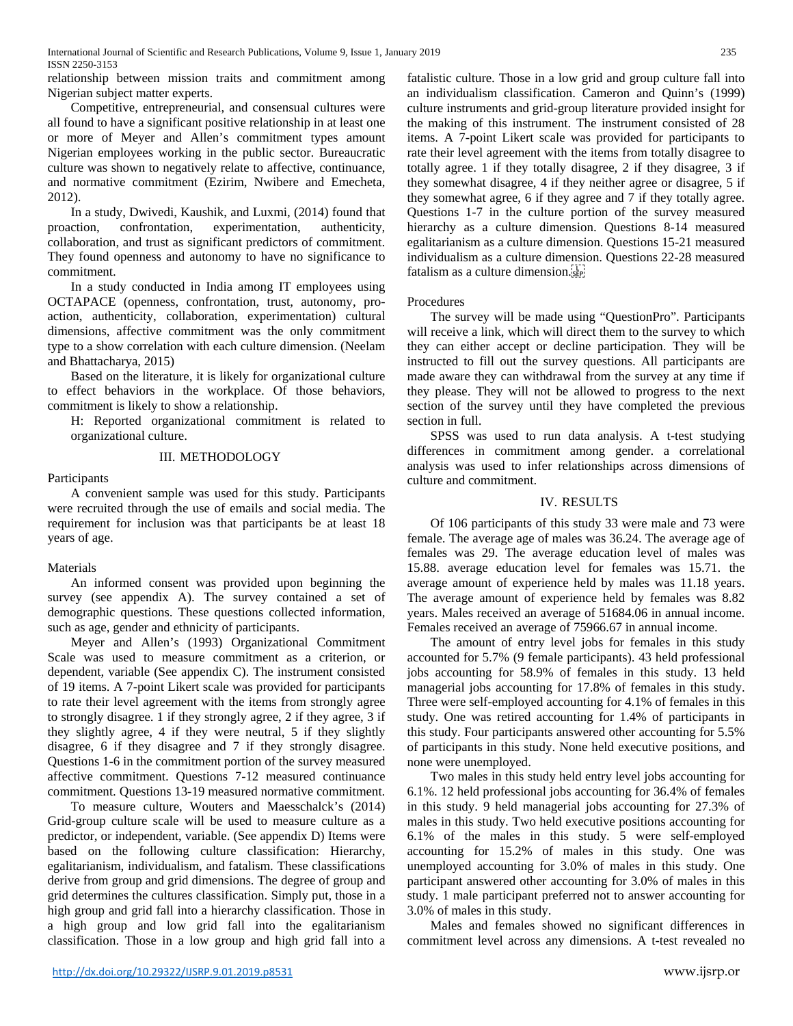relationship between mission traits and commitment among Nigerian subject matter experts.

Competitive, entrepreneurial, and consensual cultures were all found to have a significant positive relationship in at least one or more of Meyer and Allen's commitment types amount Nigerian employees working in the public sector. Bureaucratic culture was shown to negatively relate to affective, continuance, and normative commitment (Ezirim, Nwibere and Emecheta, 2012).

In a study, Dwivedi, Kaushik, and Luxmi, (2014) found that proaction, confrontation, experimentation, authenticity, collaboration, and trust as significant predictors of commitment. They found openness and autonomy to have no significance to commitment.

In a study conducted in India among IT employees using OCTAPACE (openness, confrontation, trust, autonomy, proaction, authenticity, collaboration, experimentation) cultural dimensions, affective commitment was the only commitment type to a show correlation with each culture dimension. (Neelam and Bhattacharya, 2015)

Based on the literature, it is likely for organizational culture to effect behaviors in the workplace. Of those behaviors, commitment is likely to show a relationship.

H: Reported organizational commitment is related to organizational culture.

## III. METHODOLOGY

# Participants

A convenient sample was used for this study. Participants were recruited through the use of emails and social media. The requirement for inclusion was that participants be at least 18 years of age.

# Materials

An informed consent was provided upon beginning the survey (see appendix A). The survey contained a set of demographic questions. These questions collected information, such as age, gender and ethnicity of participants.

Meyer and Allen's (1993) Organizational Commitment Scale was used to measure commitment as a criterion, or dependent, variable (See appendix C). The instrument consisted of 19 items. A 7-point Likert scale was provided for participants to rate their level agreement with the items from strongly agree to strongly disagree. 1 if they strongly agree, 2 if they agree, 3 if they slightly agree, 4 if they were neutral, 5 if they slightly disagree, 6 if they disagree and 7 if they strongly disagree. Questions 1-6 in the commitment portion of the survey measured affective commitment. Questions 7-12 measured continuance commitment. Questions 13-19 measured normative commitment.

To measure culture, Wouters and Maesschalck's (2014) Grid-group culture scale will be used to measure culture as a predictor, or independent, variable. (See appendix D) Items were based on the following culture classification: Hierarchy, egalitarianism, individualism, and fatalism. These classifications derive from group and grid dimensions. The degree of group and grid determines the cultures classification. Simply put, those in a high group and grid fall into a hierarchy classification. Those in a high group and low grid fall into the egalitarianism classification. Those in a low group and high grid fall into a fatalistic culture. Those in a low grid and group culture fall into an individualism classification. Cameron and Quinn's (1999) culture instruments and grid-group literature provided insight for the making of this instrument. The instrument consisted of 28 items. A 7-point Likert scale was provided for participants to rate their level agreement with the items from totally disagree to totally agree. 1 if they totally disagree, 2 if they disagree, 3 if they somewhat disagree, 4 if they neither agree or disagree, 5 if they somewhat agree, 6 if they agree and 7 if they totally agree. Questions 1-7 in the culture portion of the survey measured hierarchy as a culture dimension. Questions 8-14 measured egalitarianism as a culture dimension. Questions 15-21 measured individualism as a culture dimension. Questions 22-28 measured fatalism as a culture dimension.

# Procedures

The survey will be made using "QuestionPro". Participants will receive a link, which will direct them to the survey to which they can either accept or decline participation. They will be instructed to fill out the survey questions. All participants are made aware they can withdrawal from the survey at any time if they please. They will not be allowed to progress to the next section of the survey until they have completed the previous section in full.

SPSS was used to run data analysis. A t-test studying differences in commitment among gender. a correlational analysis was used to infer relationships across dimensions of culture and commitment.

# IV. RESULTS

Of 106 participants of this study 33 were male and 73 were female. The average age of males was 36.24. The average age of females was 29. The average education level of males was 15.88. average education level for females was 15.71. the average amount of experience held by males was 11.18 years. The average amount of experience held by females was 8.82 years. Males received an average of 51684.06 in annual income. Females received an average of 75966.67 in annual income.

The amount of entry level jobs for females in this study accounted for 5.7% (9 female participants). 43 held professional jobs accounting for 58.9% of females in this study. 13 held managerial jobs accounting for 17.8% of females in this study. Three were self-employed accounting for 4.1% of females in this study. One was retired accounting for 1.4% of participants in this study. Four participants answered other accounting for 5.5% of participants in this study. None held executive positions, and none were unemployed.

Two males in this study held entry level jobs accounting for 6.1%. 12 held professional jobs accounting for 36.4% of females in this study. 9 held managerial jobs accounting for 27.3% of males in this study. Two held executive positions accounting for 6.1% of the males in this study. 5 were self-employed accounting for 15.2% of males in this study. One was unemployed accounting for 3.0% of males in this study. One participant answered other accounting for 3.0% of males in this study. 1 male participant preferred not to answer accounting for 3.0% of males in this study.

Males and females showed no significant differences in commitment level across any dimensions. A t-test revealed no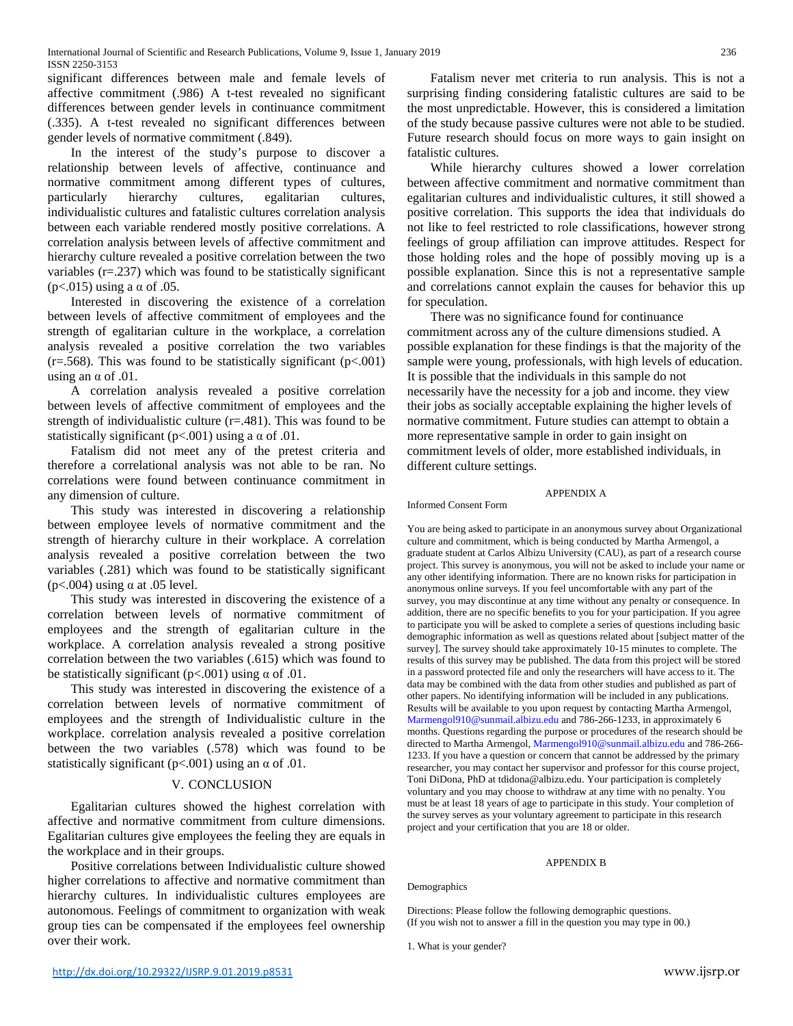significant differences between male and female levels of affective commitment (.986) A t-test revealed no significant differences between gender levels in continuance commitment (.335). A t-test revealed no significant differences between gender levels of normative commitment (.849).

In the interest of the study's purpose to discover a relationship between levels of affective, continuance and normative commitment among different types of cultures, particularly hierarchy cultures, egalitarian cultures, individualistic cultures and fatalistic cultures correlation analysis between each variable rendered mostly positive correlations. A correlation analysis between levels of affective commitment and hierarchy culture revealed a positive correlation between the two variables (r=.237) which was found to be statistically significant (p $< .015$ ) using a  $\alpha$  of  $.05$ .

Interested in discovering the existence of a correlation between levels of affective commitment of employees and the strength of egalitarian culture in the workplace, a correlation analysis revealed a positive correlation the two variables  $(r=.568)$ . This was found to be statistically significant  $(p<.001)$ using an  $\alpha$  of .01.

A correlation analysis revealed a positive correlation between levels of affective commitment of employees and the strength of individualistic culture  $(r=481)$ . This was found to be statistically significant ( $p<.001$ ) using a  $\alpha$  of .01.

Fatalism did not meet any of the pretest criteria and therefore a correlational analysis was not able to be ran. No correlations were found between continuance commitment in any dimension of culture.

This study was interested in discovering a relationship between employee levels of normative commitment and the strength of hierarchy culture in their workplace. A correlation analysis revealed a positive correlation between the two variables (.281) which was found to be statistically significant (p<.004) using  $\alpha$  at .05 level.

This study was interested in discovering the existence of a correlation between levels of normative commitment of employees and the strength of egalitarian culture in the workplace. A correlation analysis revealed a strong positive correlation between the two variables (.615) which was found to be statistically significant ( $p<.001$ ) using  $\alpha$  of .01.

This study was interested in discovering the existence of a correlation between levels of normative commitment of employees and the strength of Individualistic culture in the workplace. correlation analysis revealed a positive correlation between the two variables (.578) which was found to be statistically significant ( $p < .001$ ) using an  $\alpha$  of .01.

## V. CONCLUSION

Egalitarian cultures showed the highest correlation with affective and normative commitment from culture dimensions. Egalitarian cultures give employees the feeling they are equals in the workplace and in their groups.

Positive correlations between Individualistic culture showed higher correlations to affective and normative commitment than hierarchy cultures. In individualistic cultures employees are autonomous. Feelings of commitment to organization with weak group ties can be compensated if the employees feel ownership over their work.

Fatalism never met criteria to run analysis. This is not a surprising finding considering fatalistic cultures are said to be the most unpredictable. However, this is considered a limitation of the study because passive cultures were not able to be studied. Future research should focus on more ways to gain insight on fatalistic cultures.

While hierarchy cultures showed a lower correlation between affective commitment and normative commitment than egalitarian cultures and individualistic cultures, it still showed a positive correlation. This supports the idea that individuals do not like to feel restricted to role classifications, however strong feelings of group affiliation can improve attitudes. Respect for those holding roles and the hope of possibly moving up is a possible explanation. Since this is not a representative sample and correlations cannot explain the causes for behavior this up for speculation.

There was no significance found for continuance commitment across any of the culture dimensions studied. A possible explanation for these findings is that the majority of the sample were young, professionals, with high levels of education. It is possible that the individuals in this sample do not necessarily have the necessity for a job and income. they view their jobs as socially acceptable explaining the higher levels of normative commitment. Future studies can attempt to obtain a more representative sample in order to gain insight on commitment levels of older, more established individuals, in different culture settings.

APPENDIX A

# Informed Consent Form

You are being asked to participate in an anonymous survey about Organizational culture and commitment, which is being conducted by Martha Armengol, a graduate student at Carlos Albizu University (CAU), as part of a research course project. This survey is anonymous, you will not be asked to include your name or any other identifying information. There are no known risks for participation in anonymous online surveys. If you feel uncomfortable with any part of the survey, you may discontinue at any time without any penalty or consequence. In addition, there are no specific benefits to you for your participation. If you agree to participate you will be asked to complete a series of questions including basic demographic information as well as questions related about [subject matter of the survey]. The survey should take approximately 10-15 minutes to complete. The results of this survey may be published. The data from this project will be stored in a password protected file and only the researchers will have access to it. The data may be combined with the data from other studies and published as part of other papers. No identifying information will be included in any publications. Results will be available to you upon request by contacting Martha Armengol, Marmengol910@sunmail.albizu.edu and 786-266-1233, in approximately 6 months. Questions regarding the purpose or procedures of the research should be directed to Martha Armengol, Marmengol910@sunmail.albizu.edu and 786-266- 1233. If you have a question or concern that cannot be addressed by the primary researcher, you may contact her supervisor and professor for this course project, Toni DiDona, PhD at tdidona@albizu.edu. Your participation is completely voluntary and you may choose to withdraw at any time with no penalty. You must be at least 18 years of age to participate in this study. Your completion of the survey serves as your voluntary agreement to participate in this research project and your certification that you are 18 or older.

### APPENDIX B

Demographics

Directions: Please follow the following demographic questions. (If you wish not to answer a fill in the question you may type in 00.)

1. What is your gender?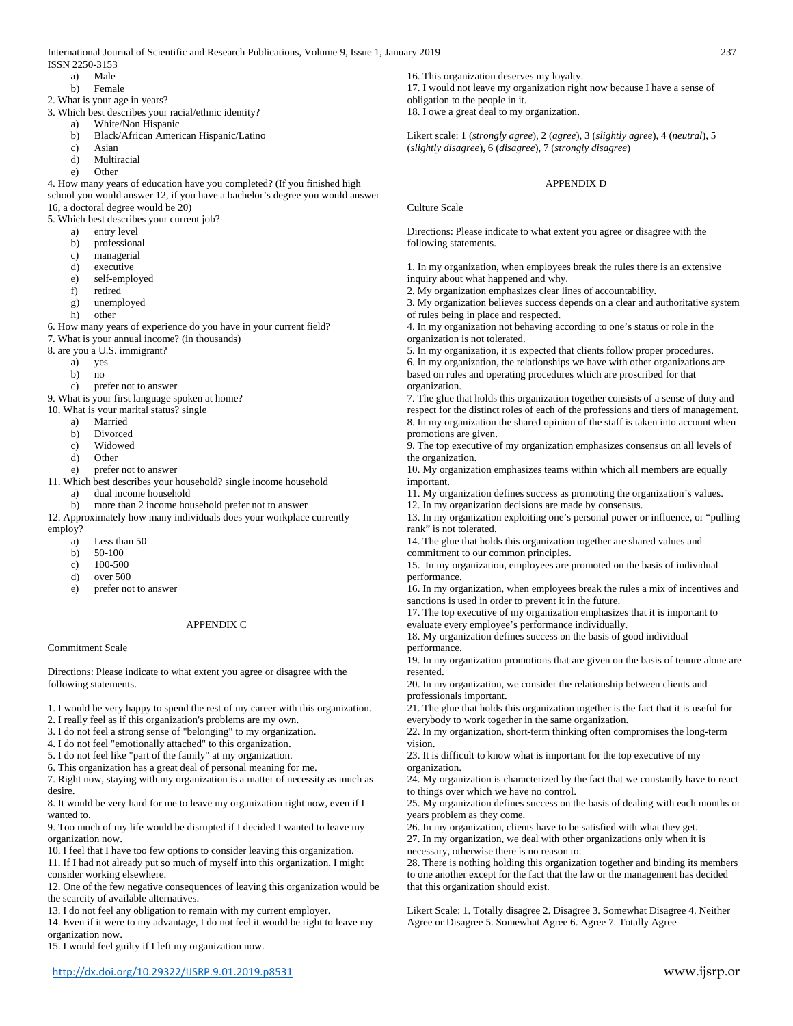International Journal of Scientific and Research Publications, Volume 9, Issue 1, January 2019 237

- ISSN 2250-3153
	- a) Male
	- b) Female
- 2. What is your age in years?
- 3. Which best describes your racial/ethnic identity?
	- a) White/Non Hispanic
	- b) Black/African American Hispanic/Latino
	- c) Asian
	- d) Multiracial
	- e) Other

4. How many years of education have you completed? (If you finished high school you would answer 12, if you have a bachelor's degree you would answer 16, a doctoral degree would be 20)

5. Which best describes your current job?

- a) entry level
- b) professional
- c) managerial
- d) executive
- e) self-employed
- retired
- g) unemployed
- h) other

6. How many years of experience do you have in your current field?

- 7. What is your annual income? (in thousands)
- 8. are you a U.S. immigrant?
	- a) yes
	- b) no
	- c) prefer not to answer

9. What is your first language spoken at home?

- 10. What is your marital status? single
	- a) Married
	- b) Divorced
	- c) Widowed
	- d) Other
- e) prefer not to answer
- 11. Which best describes your household? single income household
	- a) dual income household
	- b) more than 2 income household prefer not to answer
- 12. Approximately how many individuals does your workplace currently employ?
	- a) Less than 50
	- b) 50-100
	- c) 100-500
	- d) over 500
	- e) prefer not to answer

## APPENDIX C

#### Commitment Scale

Directions: Please indicate to what extent you agree or disagree with the following statements.

- 1. I would be very happy to spend the rest of my career with this organization.
- 2. I really feel as if this organization's problems are my own.
- 3. I do not feel a strong sense of "belonging" to my organization.
- 4. I do not feel "emotionally attached" to this organization.
- 5. I do not feel like "part of the family" at my organization.
- 6. This organization has a great deal of personal meaning for me.

7. Right now, staying with my organization is a matter of necessity as much as desire.

8. It would be very hard for me to leave my organization right now, even if I wanted to.

9. Too much of my life would be disrupted if I decided I wanted to leave my organization now.

10. I feel that I have too few options to consider leaving this organization.

11. If I had not already put so much of myself into this organization, I might consider working elsewhere.

12. One of the few negative consequences of leaving this organization would be the scarcity of available alternatives.

13. I do not feel any obligation to remain with my current employer.

14. Even if it were to my advantage, I do not feel it would be right to leave my organization now.

15. I would feel guilty if I left my organization now.

16. This organization deserves my loyalty. 17. I would not leave my organization right now because I have a sense of obligation to the people in it.

18. I owe a great deal to my organization.

Likert scale: 1 (*strongly agree*), 2 (*agree*), 3 (*slightly agree*), 4 (*neutral*), 5 (*slightly disagree*), 6 (*disagree*), 7 (*strongly disagree*)

### APPENDIX D

Culture Scale

Directions: Please indicate to what extent you agree or disagree with the following statements.

1. In my organization, when employees break the rules there is an extensive inquiry about what happened and why.

2. My organization emphasizes clear lines of accountability.

3. My organization believes success depends on a clear and authoritative system of rules being in place and respected.

4. In my organization not behaving according to one's status or role in the organization is not tolerated.

5. In my organization, it is expected that clients follow proper procedures. 6. In my organization, the relationships we have with other organizations are

based on rules and operating procedures which are proscribed for that organization.

7. The glue that holds this organization together consists of a sense of duty and respect for the distinct roles of each of the professions and tiers of management. 8. In my organization the shared opinion of the staff is taken into account when promotions are given.

9. The top executive of my organization emphasizes consensus on all levels of the organization.

10. My organization emphasizes teams within which all members are equally important. 11. My organization defines success as promoting the organization's values.

12. In my organization decisions are made by consensus.

13. In my organization exploiting one's personal power or influence, or "pulling rank" is not tolerated.

14. The glue that holds this organization together are shared values and commitment to our common principles.

15. In my organization, employees are promoted on the basis of individual performance.

16. In my organization, when employees break the rules a mix of incentives and sanctions is used in order to prevent it in the future.

17. The top executive of my organization emphasizes that it is important to evaluate every employee's performance individually.

18. My organization defines success on the basis of good individual performance.

19. In my organization promotions that are given on the basis of tenure alone are resented.

20. In my organization, we consider the relationship between clients and professionals important.

21. The glue that holds this organization together is the fact that it is useful for everybody to work together in the same organization.

22. In my organization, short-term thinking often compromises the long-term vision.

23. It is difficult to know what is important for the top executive of my organization.

24. My organization is characterized by the fact that we constantly have to react to things over which we have no control.

25. My organization defines success on the basis of dealing with each months or years problem as they come.

26. In my organization, clients have to be satisfied with what they get.

27. In my organization, we deal with other organizations only when it is necessary, otherwise there is no reason to.

28. There is nothing holding this organization together and binding its members to one another except for the fact that the law or the management has decided that this organization should exist.

Likert Scale: 1. Totally disagree 2. Disagree 3. Somewhat Disagree 4. Neither Agree or Disagree 5. Somewhat Agree 6. Agree 7. Totally Agree